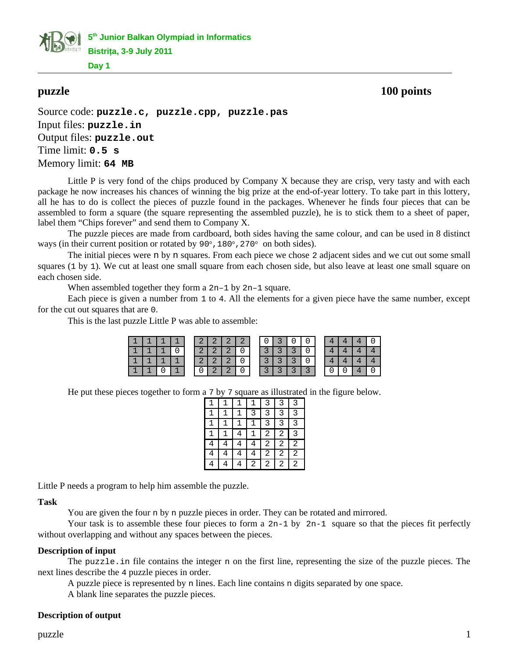**5 th Junior Balkan Olympiad in Informatics Bistriţa, 3-9 July 2011**

**Day 1**

# **puzzle 100 points**

Source code: **puzzle.c, puzzle.cpp, puzzle.pas** Input files: **puzzle.in** Output files: **puzzle.out** Time limit: **0.5 s** Memory limit: **64 MB**

Little P is very fond of the chips produced by Company X because they are crisp, very tasty and with each package he now increases his chances of winning the big prize at the end-of-year lottery. To take part in this lottery, all he has to do is collect the pieces of puzzle found in the packages. Whenever he finds four pieces that can be assembled to form a square (the square representing the assembled puzzle), he is to stick them to a sheet of paper, label them "Chips forever" and send them to Company X.

The puzzle pieces are made from cardboard, both sides having the same colour, and can be used in 8 distinct ways (in their current position or rotated by  $90^\circ$ ,  $180^\circ$ ,  $270^\circ$  on both sides).

The initial pieces were n by n squares. From each piece we chose 2 adjacent sides and we cut out some small squares (1 by 1). We cut at least one small square from each chosen side, but also leave at least one small square on each chosen side.

When assembled together they form a 2n-1 by 2n-1 square.

Each piece is given a number from 1 to 4. All the elements for a given piece have the same number, except for the cut out squares that are 0.

This is the last puzzle Little P was able to assemble:

| I 1 |  | ີ | - 2 | າ | 0 | 0 |   |  |  |  |
|-----|--|---|-----|---|---|---|---|--|--|--|
|     |  | ◠ |     |   |   |   |   |  |  |  |
|     |  | ີ |     |   |   |   |   |  |  |  |
|     |  | ⊍ |     |   |   |   | ◠ |  |  |  |

He put these pieces together to form a 7 by 7 square as illustrated in the figure below.

| 1              |   |   |   | 3              | 3 | 3              |
|----------------|---|---|---|----------------|---|----------------|
| $\mathbf{1}$   | 1 |   | 3 | 3              | 3 | 3              |
| $\mathbf{1}$   | 1 | 1 | 1 | 3              | 3 | 3              |
| $\overline{1}$ | 1 | 4 | 1 | $\overline{2}$ | 2 | 3              |
| 4              | 4 | 4 | 4 | $\overline{c}$ | 2 | $\overline{c}$ |
| 4              |   | 4 | 4 | 2              | 2 | 2              |
| 4              |   | 4 | 2 | 2              | 2 | 2              |

Little P needs a program to help him assemble the puzzle.

#### **Task**

You are given the four n by n puzzle pieces in order. They can be rotated and mirrored.

Your task is to assemble these four pieces to form a  $2n-1$  by  $2n-1$  square so that the pieces fit perfectly without overlapping and without any spaces between the pieces.

#### **Description of input**

The puzzle.in file contains the integer n on the first line, representing the size of the puzzle pieces. The next lines describe the 4 puzzle pieces in order.

A puzzle piece is represented by n lines. Each line contains n digits separated by one space.

A blank line separates the puzzle pieces.

## **Description of output**